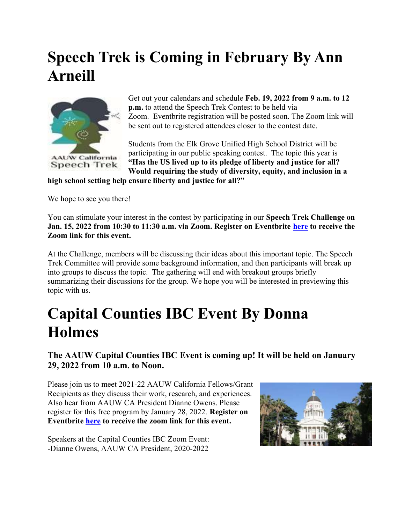## Speech Trek is Coming in February By Ann Arneill



Get out your calendars and schedule Feb. 19, 2022 from 9 a.m. to 12 p.m. to attend the Speech Trek Contest to be held via Zoom. Eventbrite registration will be posted soon. The Zoom link will be sent out to registered attendees closer to the contest date.

Students from the Elk Grove Unified High School District will be participating in our public speaking contest. The topic this year is "Has the US lived up to its pledge of liberty and justice for all? Would requiring the study of diversity, equity, and inclusion in a high school setting help ensure liberty and justice for all?"

We hope to see you there!

You can stimulate your interest in the contest by participating in our **Speech Trek Challenge on** Jan. 15, 2022 from 10:30 to 11:30 a.m. via Zoom. Register on Eventbrite here to receive the Zoom link for this event.

At the Challenge, members will be discussing their ideas about this important topic. The Speech Trek Committee will provide some background information, and then participants will break up into groups to discuss the topic. The gathering will end with breakout groups briefly summarizing their discussions for the group. We hope you will be interested in previewing this topic with us.

## Capital Counties IBC Event By Donna Holmes

The AAUW Capital Counties IBC Event is coming up! It will be held on January 29, 2022 from 10 a.m. to Noon.

Please join us to meet 2021-22 AAUW California Fellows/Grant Recipients as they discuss their work, research, and experiences. Also hear from AAUW CA President Dianne Owens. Please register for this free program by January 28, 2022. Register on Eventbrite here to receive the zoom link for this event.

Speakers at the Capital Counties IBC Zoom Event: -Dianne Owens, AAUW CA President, 2020-2022

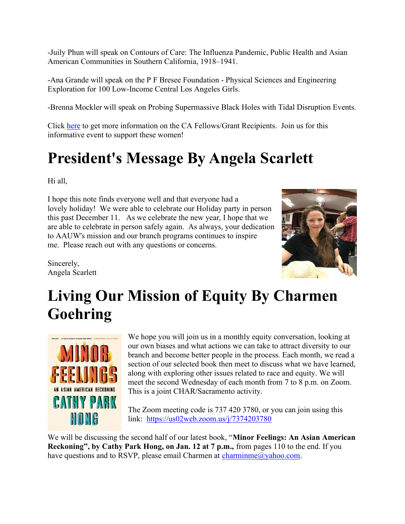-Juily Phun will speak on Contours of Care: The Influenza Pandemic, Public Health and Asian American Communities in Southern California, 1918–1941.

-Ana Grande will speak on the P F Bresee Foundation - Physical Sciences and Engineering Exploration for 100 Low-Income Central Los Angeles Girls.

-Brenna Mockler will speak on Probing Supermassive Black Holes with Tidal Disruption Events.

Click here to get more information on the CA Fellows/Grant Recipients. Join us for this informative event to support these women!

# President's Message By Angela Scarlett

Hi all,

I hope this note finds everyone well and that everyone had a lovely holiday! We were able to celebrate our Holiday party in person this past December 11. As we celebrate the new year, I hope that we are able to celebrate in person safely again. As always, your dedication to AAUW's mission and our branch programs continues to inspire me. Please reach out with any questions or concerns.

Sincerely, Angela Scarlett



# Living Our Mission of Equity By Charmen Goehring



We hope you will join us in a monthly equity conversation, looking at our own biases and what actions we can take to attract diversity to our branch and become better people in the process. Each month, we read a section of our selected book then meet to discuss what we have learned, along with exploring other issues related to race and equity. We will meet the second Wednesday of each month from 7 to 8 p.m. on Zoom. This is a joint CHAR/Sacramento activity.

The Zoom meeting code is 737 420 3780, or you can join using this link: https://us02web.zoom.us/j/7374203780

We will be discussing the second half of our latest book, "**Minor Feelings: An Asian American** Reckoning", by Cathy Park Hong, on Jan. 12 at 7 p.m., from pages 110 to the end. If you have questions and to RSVP, please email Charmen at charminme@yahoo.com.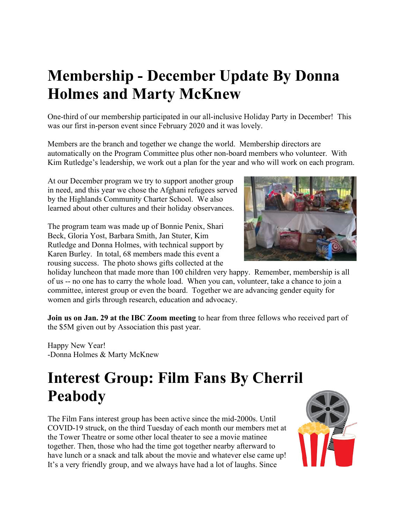# Membership - December Update By Donna Holmes and Marty McKnew

One-third of our membership participated in our all-inclusive Holiday Party in December! This was our first in-person event since February 2020 and it was lovely.

Members are the branch and together we change the world. Membership directors are automatically on the Program Committee plus other non-board members who volunteer. With Kim Rutledge's leadership, we work out a plan for the year and who will work on each program.

At our December program we try to support another group in need, and this year we chose the Afghani refugees served by the Highlands Community Charter School. We also learned about other cultures and their holiday observances.

The program team was made up of Bonnie Penix, Shari Beck, Gloria Yost, Barbara Smith, Jan Stuter, Kim Rutledge and Donna Holmes, with technical support by Karen Burley. In total, 68 members made this event a rousing success. The photo shows gifts collected at the

holiday luncheon that made more than 100 children very happy. Remember, membership is all of us -- no one has to carry the whole load. When you can, volunteer, take a chance to join a committee, interest group or even the board. Together we are advancing gender equity for women and girls through research, education and advocacy.

Join us on Jan. 29 at the IBC Zoom meeting to hear from three fellows who received part of the \$5M given out by Association this past year.

Happy New Year! -Donna Holmes & Marty McKnew

# Interest Group: Film Fans By Cherril Peabody

The Film Fans interest group has been active since the mid-2000s. Until COVID-19 struck, on the third Tuesday of each month our members met at the Tower Theatre or some other local theater to see a movie matinee together. Then, those who had the time got together nearby afterward to have lunch or a snack and talk about the movie and whatever else came up! It's a very friendly group, and we always have had a lot of laughs. Since



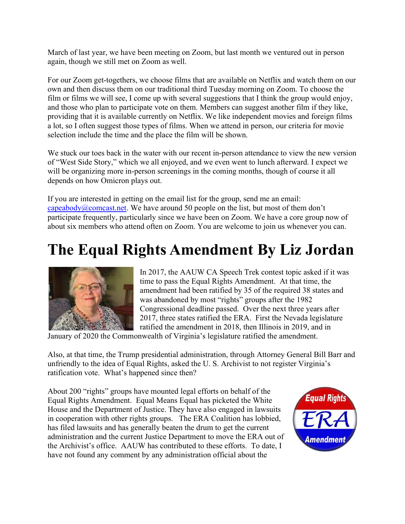March of last year, we have been meeting on Zoom, but last month we ventured out in person again, though we still met on Zoom as well.

For our Zoom get-togethers, we choose films that are available on Netflix and watch them on our own and then discuss them on our traditional third Tuesday morning on Zoom. To choose the film or films we will see, I come up with several suggestions that I think the group would enjoy, and those who plan to participate vote on them. Members can suggest another film if they like, providing that it is available currently on Netflix. We like independent movies and foreign films a lot, so I often suggest those types of films. When we attend in person, our criteria for movie selection include the time and the place the film will be shown.

We stuck our toes back in the water with our recent in-person attendance to view the new version of "West Side Story," which we all enjoyed, and we even went to lunch afterward. I expect we will be organizing more in-person screenings in the coming months, though of course it all depends on how Omicron plays out.

If you are interested in getting on the email list for the group, send me an email: capeabody@comcast.net. We have around 50 people on the list, but most of them don't participate frequently, particularly since we have been on Zoom. We have a core group now of about six members who attend often on Zoom. You are welcome to join us whenever you can.

### The Equal Rights Amendment By Liz Jordan



In 2017, the AAUW CA Speech Trek contest topic asked if it was time to pass the Equal Rights Amendment. At that time, the amendment had been ratified by 35 of the required 38 states and was abandoned by most "rights" groups after the 1982 Congressional deadline passed. Over the next three years after 2017, three states ratified the ERA. First the Nevada legislature ratified the amendment in 2018, then Illinois in 2019, and in

January of 2020 the Commonwealth of Virginia's legislature ratified the amendment.

Also, at that time, the Trump presidential administration, through Attorney General Bill Barr and unfriendly to the idea of Equal Rights, asked the U. S. Archivist to not register Virginia's ratification vote. What's happened since then?

About 200 "rights" groups have mounted legal efforts on behalf of the Equal Rights Amendment. Equal Means Equal has picketed the White House and the Department of Justice. They have also engaged in lawsuits in cooperation with other rights groups. The ERA Coalition has lobbied, has filed lawsuits and has generally beaten the drum to get the current administration and the current Justice Department to move the ERA out of the Archivist's office. AAUW has contributed to these efforts. To date, I have not found any comment by any administration official about the

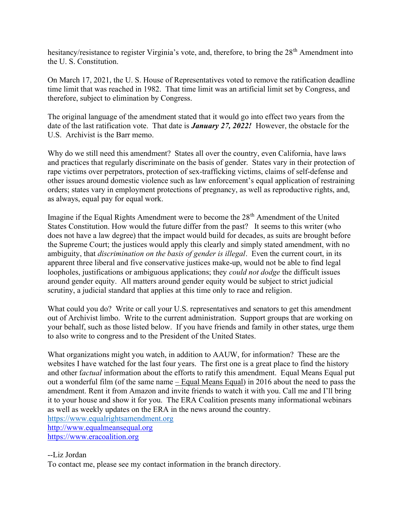hesitancy/resistance to register Virginia's vote, and, therefore, to bring the 28<sup>th</sup> Amendment into the U. S. Constitution.

On March 17, 2021, the U. S. House of Representatives voted to remove the ratification deadline time limit that was reached in 1982. That time limit was an artificial limit set by Congress, and therefore, subject to elimination by Congress.

The original language of the amendment stated that it would go into effect two years from the date of the last ratification vote. That date is **January 27, 2022!** However, the obstacle for the U.S. Archivist is the Barr memo.

Why do we still need this amendment? States all over the country, even California, have laws and practices that regularly discriminate on the basis of gender. States vary in their protection of rape victims over perpetrators, protection of sex-trafficking victims, claims of self-defense and other issues around domestic violence such as law enforcement's equal application of restraining orders; states vary in employment protections of pregnancy, as well as reproductive rights, and, as always, equal pay for equal work.

Imagine if the Equal Rights Amendment were to become the 28<sup>th</sup> Amendment of the United States Constitution. How would the future differ from the past? It seems to this writer (who does not have a law degree) that the impact would build for decades, as suits are brought before the Supreme Court; the justices would apply this clearly and simply stated amendment, with no ambiguity, that *discrimination on the basis of gender is illegal*. Even the current court, in its apparent three liberal and five conservative justices make-up, would not be able to find legal loopholes, justifications or ambiguous applications; they *could not dodge* the difficult issues around gender equity. All matters around gender equity would be subject to strict judicial scrutiny, a judicial standard that applies at this time only to race and religion.

What could you do? Write or call your U.S. representatives and senators to get this amendment out of Archivist limbo. Write to the current administration. Support groups that are working on your behalf, such as those listed below. If you have friends and family in other states, urge them to also write to congress and to the President of the United States.

What organizations might you watch, in addition to AAUW, for information? These are the websites I have watched for the last four years. The first one is a great place to find the history and other factual information about the efforts to ratify this amendment. Equal Means Equal put out a wonderful film (of the same name  $-$  Equal Means Equal) in 2016 about the need to pass the amendment. Rent it from Amazon and invite friends to watch it with you. Call me and I'll bring it to your house and show it for you. The ERA Coalition presents many informational webinars as well as weekly updates on the ERA in the news around the country. https://www.equalrightsamendment.org http://www.equalmeansequal.org https://www.eracoalition.org

--Liz Jordan

To contact me, please see my contact information in the branch directory.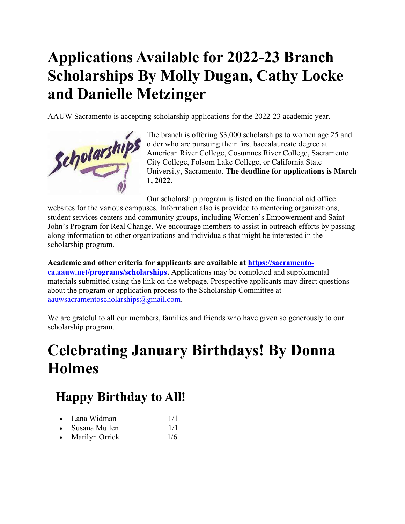# Applications Available for 2022-23 Branch Scholarships By Molly Dugan, Cathy Locke and Danielle Metzinger

AAUW Sacramento is accepting scholarship applications for the 2022-23 academic year.



The branch is offering \$3,000 scholarships to women age 25 and older who are pursuing their first baccalaureate degree at American River College, Cosumnes River College, Sacramento City College, Folsom Lake College, or California State University, Sacramento. The deadline for applications is March 1, 2022.

Our scholarship program is listed on the financial aid office websites for the various campuses. Information also is provided to mentoring organizations, student services centers and community groups, including Women's Empowerment and Saint John's Program for Real Change. We encourage members to assist in outreach efforts by passing along information to other organizations and individuals that might be interested in the scholarship program.

Academic and other criteria for applicants are available at https://sacramentoca.aauw.net/programs/scholarships. Applications may be completed and supplemental materials submitted using the link on the webpage. Prospective applicants may direct questions about the program or application process to the Scholarship Committee at aauwsacramentoscholarships@gmail.com.

We are grateful to all our members, families and friends who have given so generously to our scholarship program.

# Celebrating January Birthdays! By Donna **Holmes**

#### Happy Birthday to All!

- Lana Widman 1/1
- $\bullet$  Susana Mullen  $1/1$
- Marilyn Orrick 1/6